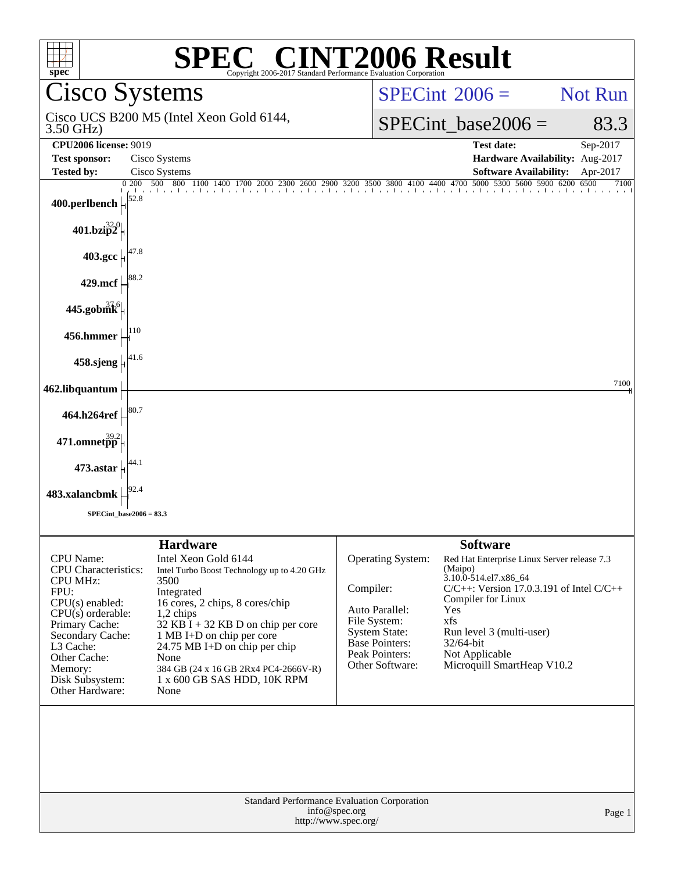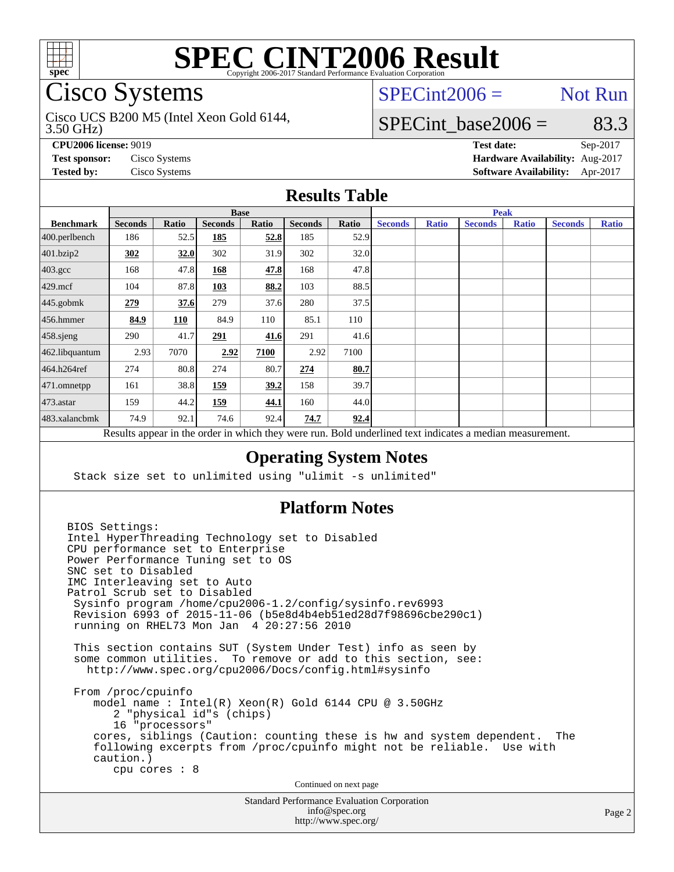

# Cisco Systems

3.50 GHz) Cisco UCS B200 M5 (Intel Xeon Gold 6144,

 $SPECint2006 =$  Not Run

# SPECint base2006 =  $83.3$

**[CPU2006 license:](http://www.spec.org/auto/cpu2006/Docs/result-fields.html#CPU2006license)** 9019 **[Test date:](http://www.spec.org/auto/cpu2006/Docs/result-fields.html#Testdate)** Sep-2017

**[Test sponsor:](http://www.spec.org/auto/cpu2006/Docs/result-fields.html#Testsponsor)** Cisco Systems **[Hardware Availability:](http://www.spec.org/auto/cpu2006/Docs/result-fields.html#HardwareAvailability)** Aug-2017 **[Tested by:](http://www.spec.org/auto/cpu2006/Docs/result-fields.html#Testedby)** Cisco Systems **[Software Availability:](http://www.spec.org/auto/cpu2006/Docs/result-fields.html#SoftwareAvailability)** Apr-2017

## **[Results Table](http://www.spec.org/auto/cpu2006/Docs/result-fields.html#ResultsTable)**

|                    | <b>Base</b>    |       |                |       |                |       | <b>Peak</b>    |              |                                                                                                          |              |                |              |
|--------------------|----------------|-------|----------------|-------|----------------|-------|----------------|--------------|----------------------------------------------------------------------------------------------------------|--------------|----------------|--------------|
| <b>Benchmark</b>   | <b>Seconds</b> | Ratio | <b>Seconds</b> | Ratio | <b>Seconds</b> | Ratio | <b>Seconds</b> | <b>Ratio</b> | <b>Seconds</b>                                                                                           | <b>Ratio</b> | <b>Seconds</b> | <b>Ratio</b> |
| $400.$ perlbench   | 186            | 52.5  | 185            | 52.8  | 185            | 52.9  |                |              |                                                                                                          |              |                |              |
| 401.bzip2          | 302            | 32.0  | 302            | 31.9  | 302            | 32.0  |                |              |                                                                                                          |              |                |              |
| $403.\mathrm{gcc}$ | 168            | 47.8  | 168            | 47.8  | 168            | 47.8  |                |              |                                                                                                          |              |                |              |
| $429$ .mcf         | 104            | 87.8  | 103            | 88.2  | 103            | 88.5  |                |              |                                                                                                          |              |                |              |
| $445$ .gobmk       | 279            | 37.6  | 279            | 37.6  | 280            | 37.5  |                |              |                                                                                                          |              |                |              |
| $456.$ hmmer       | 84.9           | 110   | 84.9           | 110   | 85.1           | 110   |                |              |                                                                                                          |              |                |              |
| 458.sjeng          | 290            | 41.7  | 291            | 41.6  | 291            | 41.6  |                |              |                                                                                                          |              |                |              |
| 462.libquantum     | 2.93           | 7070  | 2.92           | 7100  | 2.92           | 7100  |                |              |                                                                                                          |              |                |              |
| 464.h264ref        | 274            | 80.8  | 274            | 80.7  | 274            | 80.7  |                |              |                                                                                                          |              |                |              |
| 471.omnetpp        | 161            | 38.8  | 159            | 39.2  | 158            | 39.7  |                |              |                                                                                                          |              |                |              |
| $473$ . astar      | 159            | 44.2  | 159            | 44.1  | 160            | 44.0  |                |              |                                                                                                          |              |                |              |
| 483.xalancbmk      | 74.9           | 92.1  | 74.6           | 92.4  | 74.7           | 92.4  |                |              |                                                                                                          |              |                |              |
|                    |                |       |                |       |                |       |                |              | Results appear in the order in which they were run. Bold underlined text indicates a median measurement. |              |                |              |

## **[Operating System Notes](http://www.spec.org/auto/cpu2006/Docs/result-fields.html#OperatingSystemNotes)**

Stack size set to unlimited using "ulimit -s unlimited"

### **[Platform Notes](http://www.spec.org/auto/cpu2006/Docs/result-fields.html#PlatformNotes)**

Standard Performance Evaluation Corporation BIOS Settings: Intel HyperThreading Technology set to Disabled CPU performance set to Enterprise Power Performance Tuning set to OS SNC set to Disabled IMC Interleaving set to Auto Patrol Scrub set to Disabled Sysinfo program /home/cpu2006-1.2/config/sysinfo.rev6993 Revision 6993 of 2015-11-06 (b5e8d4b4eb51ed28d7f98696cbe290c1) running on RHEL73 Mon Jan 4 20:27:56 2010 This section contains SUT (System Under Test) info as seen by some common utilities. To remove or add to this section, see: <http://www.spec.org/cpu2006/Docs/config.html#sysinfo> From /proc/cpuinfo model name : Intel(R) Xeon(R) Gold 6144 CPU @ 3.50GHz 2 "physical id"s (chips) 16 "processors" cores, siblings (Caution: counting these is hw and system dependent. The following excerpts from /proc/cpuinfo might not be reliable. Use with caution.) cpu cores : 8 Continued on next page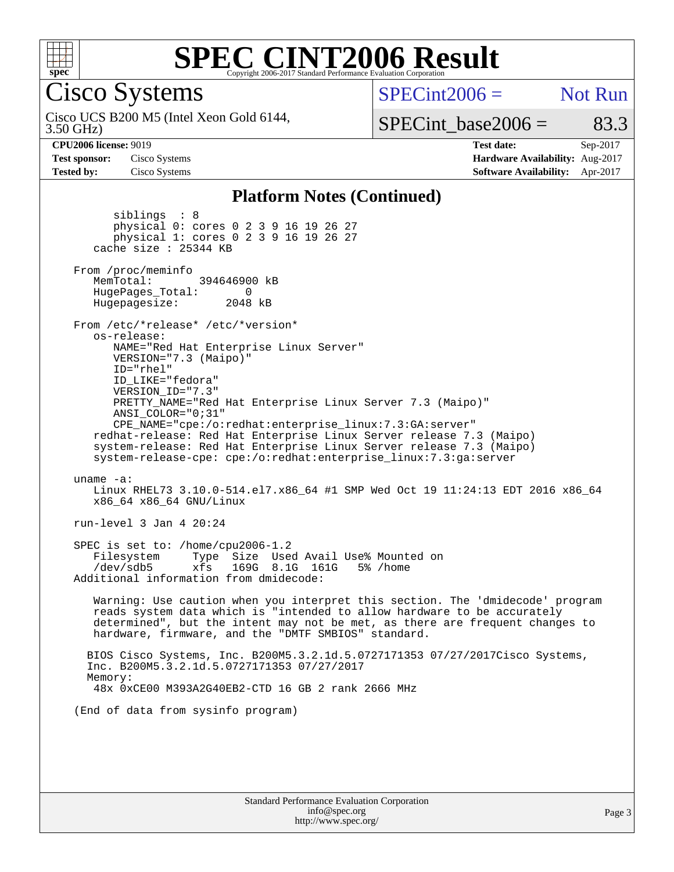

Cisco Systems

 $SPECint2006 =$  Not Run

3.50 GHz) Cisco UCS B200 M5 (Intel Xeon Gold 6144, SPECint base2006 =  $83.3$ 

**[CPU2006 license:](http://www.spec.org/auto/cpu2006/Docs/result-fields.html#CPU2006license)** 9019 **[Test date:](http://www.spec.org/auto/cpu2006/Docs/result-fields.html#Testdate)** Sep-2017 **[Test sponsor:](http://www.spec.org/auto/cpu2006/Docs/result-fields.html#Testsponsor)** Cisco Systems **[Hardware Availability:](http://www.spec.org/auto/cpu2006/Docs/result-fields.html#HardwareAvailability)** Aug-2017 **[Tested by:](http://www.spec.org/auto/cpu2006/Docs/result-fields.html#Testedby)** Cisco Systems **[Software Availability:](http://www.spec.org/auto/cpu2006/Docs/result-fields.html#SoftwareAvailability)** Apr-2017

### **[Platform Notes \(Continued\)](http://www.spec.org/auto/cpu2006/Docs/result-fields.html#PlatformNotes)**

 siblings : 8 physical 0: cores 0 2 3 9 16 19 26 27 physical 1: cores 0 2 3 9 16 19 26 27 cache size : 25344 KB From /proc/meminfo MemTotal: 394646900 kB HugePages\_Total: 0<br>Hugepagesize: 2048 kB Hugepagesize: From /etc/\*release\* /etc/\*version\* os-release: NAME="Red Hat Enterprise Linux Server" VERSION="7.3 (Maipo)" ID="rhel" ID\_LIKE="fedora" VERSION\_ID="7.3" PRETTY\_NAME="Red Hat Enterprise Linux Server 7.3 (Maipo)" ANSI\_COLOR="0;31" CPE\_NAME="cpe:/o:redhat:enterprise\_linux:7.3:GA:server" redhat-release: Red Hat Enterprise Linux Server release 7.3 (Maipo) system-release: Red Hat Enterprise Linux Server release 7.3 (Maipo) system-release-cpe: cpe:/o:redhat:enterprise\_linux:7.3:ga:server uname -a: Linux RHEL73 3.10.0-514.el7.x86\_64 #1 SMP Wed Oct 19 11:24:13 EDT 2016 x86\_64 x86\_64 x86\_64 GNU/Linux run-level 3 Jan 4 20:24 SPEC is set to: /home/cpu2006-1.2 Filesystem Type Size Used Avail Use% Mounted on<br>
/dev/sdb5 xfs 169G 8.1G 161G 5% /home /dev/sdb5 xfs 169G 8.1G 161G 5% /home Additional information from dmidecode: Warning: Use caution when you interpret this section. The 'dmidecode' program reads system data which is "intended to allow hardware to be accurately determined", but the intent may not be met, as there are frequent changes to hardware, firmware, and the "DMTF SMBIOS" standard. BIOS Cisco Systems, Inc. B200M5.3.2.1d.5.0727171353 07/27/2017Cisco Systems, Inc. B200M5.3.2.1d.5.0727171353 07/27/2017 Memory: 48x 0xCE00 M393A2G40EB2-CTD 16 GB 2 rank 2666 MHz (End of data from sysinfo program)

| <b>Standard Performance Evaluation Corporation</b> |
|----------------------------------------------------|
| info@spec.org                                      |
| http://www.spec.org/                               |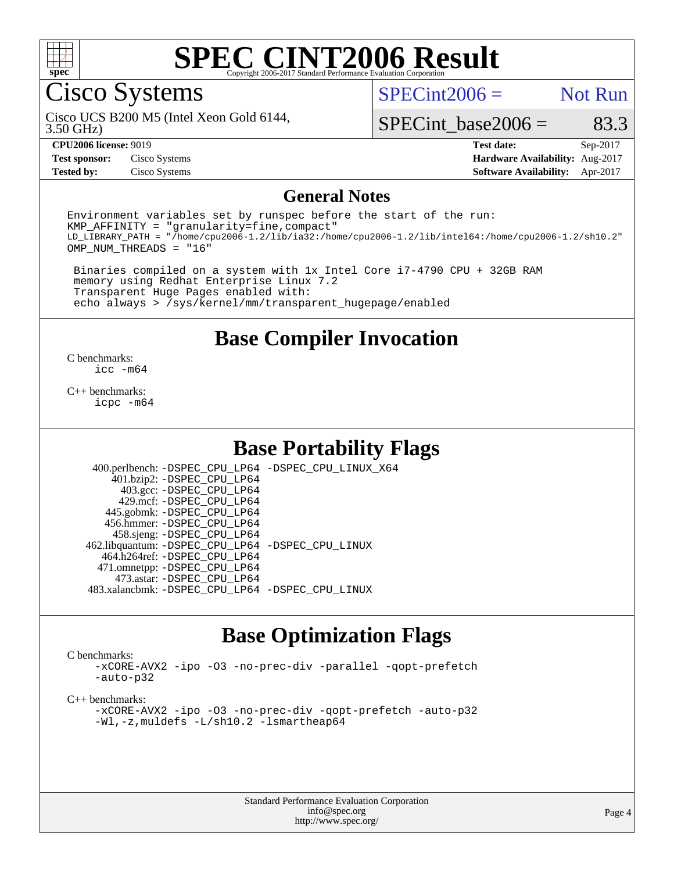

# Cisco Systems

 $SPECint2006 =$  Not Run

3.50 GHz) Cisco UCS B200 M5 (Intel Xeon Gold 6144,

SPECint base2006 =  $83.3$ 

**[Test sponsor:](http://www.spec.org/auto/cpu2006/Docs/result-fields.html#Testsponsor)** Cisco Systems **[Hardware Availability:](http://www.spec.org/auto/cpu2006/Docs/result-fields.html#HardwareAvailability)** Aug-2017

**[CPU2006 license:](http://www.spec.org/auto/cpu2006/Docs/result-fields.html#CPU2006license)** 9019 **[Test date:](http://www.spec.org/auto/cpu2006/Docs/result-fields.html#Testdate)** Sep-2017 **[Tested by:](http://www.spec.org/auto/cpu2006/Docs/result-fields.html#Testedby)** Cisco Systems **[Software Availability:](http://www.spec.org/auto/cpu2006/Docs/result-fields.html#SoftwareAvailability)** Apr-2017

### **[General Notes](http://www.spec.org/auto/cpu2006/Docs/result-fields.html#GeneralNotes)**

Environment variables set by runspec before the start of the run: KMP\_AFFINITY = "granularity=fine,compact" LD\_LIBRARY\_PATH = "/home/cpu2006-1.2/lib/ia32:/home/cpu2006-1.2/lib/intel64:/home/cpu2006-1.2/sh10.2" OMP\_NUM\_THREADS = "16"

 Binaries compiled on a system with 1x Intel Core i7-4790 CPU + 32GB RAM memory using Redhat Enterprise Linux 7.2 Transparent Huge Pages enabled with: echo always > /sys/kernel/mm/transparent\_hugepage/enabled

## **[Base Compiler Invocation](http://www.spec.org/auto/cpu2006/Docs/result-fields.html#BaseCompilerInvocation)**

[C benchmarks](http://www.spec.org/auto/cpu2006/Docs/result-fields.html#Cbenchmarks): [icc -m64](http://www.spec.org/cpu2006/results/res2017q4/cpu2006-20170919-50206.flags.html#user_CCbase_intel_icc_64bit_bda6cc9af1fdbb0edc3795bac97ada53)

[C++ benchmarks:](http://www.spec.org/auto/cpu2006/Docs/result-fields.html#CXXbenchmarks) [icpc -m64](http://www.spec.org/cpu2006/results/res2017q4/cpu2006-20170919-50206.flags.html#user_CXXbase_intel_icpc_64bit_fc66a5337ce925472a5c54ad6a0de310)

# **[Base Portability Flags](http://www.spec.org/auto/cpu2006/Docs/result-fields.html#BasePortabilityFlags)**

 400.perlbench: [-DSPEC\\_CPU\\_LP64](http://www.spec.org/cpu2006/results/res2017q4/cpu2006-20170919-50206.flags.html#b400.perlbench_basePORTABILITY_DSPEC_CPU_LP64) [-DSPEC\\_CPU\\_LINUX\\_X64](http://www.spec.org/cpu2006/results/res2017q4/cpu2006-20170919-50206.flags.html#b400.perlbench_baseCPORTABILITY_DSPEC_CPU_LINUX_X64) 401.bzip2: [-DSPEC\\_CPU\\_LP64](http://www.spec.org/cpu2006/results/res2017q4/cpu2006-20170919-50206.flags.html#suite_basePORTABILITY401_bzip2_DSPEC_CPU_LP64) 403.gcc: [-DSPEC\\_CPU\\_LP64](http://www.spec.org/cpu2006/results/res2017q4/cpu2006-20170919-50206.flags.html#suite_basePORTABILITY403_gcc_DSPEC_CPU_LP64) 429.mcf: [-DSPEC\\_CPU\\_LP64](http://www.spec.org/cpu2006/results/res2017q4/cpu2006-20170919-50206.flags.html#suite_basePORTABILITY429_mcf_DSPEC_CPU_LP64) 445.gobmk: [-DSPEC\\_CPU\\_LP64](http://www.spec.org/cpu2006/results/res2017q4/cpu2006-20170919-50206.flags.html#suite_basePORTABILITY445_gobmk_DSPEC_CPU_LP64) 456.hmmer: [-DSPEC\\_CPU\\_LP64](http://www.spec.org/cpu2006/results/res2017q4/cpu2006-20170919-50206.flags.html#suite_basePORTABILITY456_hmmer_DSPEC_CPU_LP64) 458.sjeng: [-DSPEC\\_CPU\\_LP64](http://www.spec.org/cpu2006/results/res2017q4/cpu2006-20170919-50206.flags.html#suite_basePORTABILITY458_sjeng_DSPEC_CPU_LP64) 462.libquantum: [-DSPEC\\_CPU\\_LP64](http://www.spec.org/cpu2006/results/res2017q4/cpu2006-20170919-50206.flags.html#suite_basePORTABILITY462_libquantum_DSPEC_CPU_LP64) [-DSPEC\\_CPU\\_LINUX](http://www.spec.org/cpu2006/results/res2017q4/cpu2006-20170919-50206.flags.html#b462.libquantum_baseCPORTABILITY_DSPEC_CPU_LINUX) 464.h264ref: [-DSPEC\\_CPU\\_LP64](http://www.spec.org/cpu2006/results/res2017q4/cpu2006-20170919-50206.flags.html#suite_basePORTABILITY464_h264ref_DSPEC_CPU_LP64) 471.omnetpp: [-DSPEC\\_CPU\\_LP64](http://www.spec.org/cpu2006/results/res2017q4/cpu2006-20170919-50206.flags.html#suite_basePORTABILITY471_omnetpp_DSPEC_CPU_LP64) 473.astar: [-DSPEC\\_CPU\\_LP64](http://www.spec.org/cpu2006/results/res2017q4/cpu2006-20170919-50206.flags.html#suite_basePORTABILITY473_astar_DSPEC_CPU_LP64) 483.xalancbmk: [-DSPEC\\_CPU\\_LP64](http://www.spec.org/cpu2006/results/res2017q4/cpu2006-20170919-50206.flags.html#suite_basePORTABILITY483_xalancbmk_DSPEC_CPU_LP64) [-DSPEC\\_CPU\\_LINUX](http://www.spec.org/cpu2006/results/res2017q4/cpu2006-20170919-50206.flags.html#b483.xalancbmk_baseCXXPORTABILITY_DSPEC_CPU_LINUX)

# **[Base Optimization Flags](http://www.spec.org/auto/cpu2006/Docs/result-fields.html#BaseOptimizationFlags)**

[C benchmarks](http://www.spec.org/auto/cpu2006/Docs/result-fields.html#Cbenchmarks):

[-xCORE-AVX2](http://www.spec.org/cpu2006/results/res2017q4/cpu2006-20170919-50206.flags.html#user_CCbase_f-xCORE-AVX2) [-ipo](http://www.spec.org/cpu2006/results/res2017q4/cpu2006-20170919-50206.flags.html#user_CCbase_f-ipo) [-O3](http://www.spec.org/cpu2006/results/res2017q4/cpu2006-20170919-50206.flags.html#user_CCbase_f-O3) [-no-prec-div](http://www.spec.org/cpu2006/results/res2017q4/cpu2006-20170919-50206.flags.html#user_CCbase_f-no-prec-div) [-parallel](http://www.spec.org/cpu2006/results/res2017q4/cpu2006-20170919-50206.flags.html#user_CCbase_f-parallel) [-qopt-prefetch](http://www.spec.org/cpu2006/results/res2017q4/cpu2006-20170919-50206.flags.html#user_CCbase_f-qopt-prefetch) [-auto-p32](http://www.spec.org/cpu2006/results/res2017q4/cpu2006-20170919-50206.flags.html#user_CCbase_f-auto-p32)

[C++ benchmarks:](http://www.spec.org/auto/cpu2006/Docs/result-fields.html#CXXbenchmarks)

[-xCORE-AVX2](http://www.spec.org/cpu2006/results/res2017q4/cpu2006-20170919-50206.flags.html#user_CXXbase_f-xCORE-AVX2) [-ipo](http://www.spec.org/cpu2006/results/res2017q4/cpu2006-20170919-50206.flags.html#user_CXXbase_f-ipo) [-O3](http://www.spec.org/cpu2006/results/res2017q4/cpu2006-20170919-50206.flags.html#user_CXXbase_f-O3) [-no-prec-div](http://www.spec.org/cpu2006/results/res2017q4/cpu2006-20170919-50206.flags.html#user_CXXbase_f-no-prec-div) [-qopt-prefetch](http://www.spec.org/cpu2006/results/res2017q4/cpu2006-20170919-50206.flags.html#user_CXXbase_f-qopt-prefetch) [-auto-p32](http://www.spec.org/cpu2006/results/res2017q4/cpu2006-20170919-50206.flags.html#user_CXXbase_f-auto-p32) [-Wl,-z,muldefs](http://www.spec.org/cpu2006/results/res2017q4/cpu2006-20170919-50206.flags.html#user_CXXbase_link_force_multiple1_74079c344b956b9658436fd1b6dd3a8a) [-L/sh10.2 -lsmartheap64](http://www.spec.org/cpu2006/results/res2017q4/cpu2006-20170919-50206.flags.html#user_CXXbase_SmartHeap64_63911d860fc08c15fa1d5bf319b9d8d5)